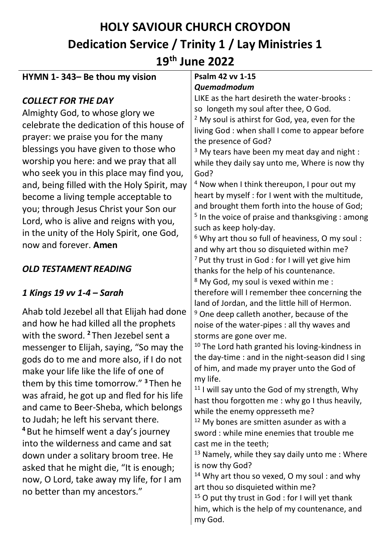# **HOLY SAVIOUR CHURCH CROYDON Dedication Service / Trinity 1 / Lay Ministries 1 19th June 2022**

| Quemadmodum<br>LIKE as the hart desireth the water-brooks :<br><b>COLLECT FOR THE DAY</b><br>so longeth my soul after thee, O God.<br>Almighty God, to whose glory we<br><sup>2</sup> My soul is athirst for God, yea, even for the<br>celebrate the dedication of this house of<br>living God : when shall I come to appear before<br>prayer: we praise you for the many<br>the presence of God?<br>blessings you have given to those who<br>$3$ My tears have been my meat day and night :<br>worship you here: and we pray that all<br>while they daily say unto me, Where is now thy<br>who seek you in this place may find you,<br>God?<br><sup>4</sup> Now when I think thereupon, I pour out my<br>and, being filled with the Holy Spirit, may<br>heart by myself : for I went with the multitude,<br>become a living temple acceptable to<br>and brought them forth into the house of God;<br>you; through Jesus Christ your Son our<br>$5$ In the voice of praise and thanksgiving : among<br>Lord, who is alive and reigns with you,<br>such as keep holy-day.<br>in the unity of the Holy Spirit, one God, |
|-----------------------------------------------------------------------------------------------------------------------------------------------------------------------------------------------------------------------------------------------------------------------------------------------------------------------------------------------------------------------------------------------------------------------------------------------------------------------------------------------------------------------------------------------------------------------------------------------------------------------------------------------------------------------------------------------------------------------------------------------------------------------------------------------------------------------------------------------------------------------------------------------------------------------------------------------------------------------------------------------------------------------------------------------------------------------------------------------------------------------|
|                                                                                                                                                                                                                                                                                                                                                                                                                                                                                                                                                                                                                                                                                                                                                                                                                                                                                                                                                                                                                                                                                                                       |
|                                                                                                                                                                                                                                                                                                                                                                                                                                                                                                                                                                                                                                                                                                                                                                                                                                                                                                                                                                                                                                                                                                                       |
|                                                                                                                                                                                                                                                                                                                                                                                                                                                                                                                                                                                                                                                                                                                                                                                                                                                                                                                                                                                                                                                                                                                       |
|                                                                                                                                                                                                                                                                                                                                                                                                                                                                                                                                                                                                                                                                                                                                                                                                                                                                                                                                                                                                                                                                                                                       |
|                                                                                                                                                                                                                                                                                                                                                                                                                                                                                                                                                                                                                                                                                                                                                                                                                                                                                                                                                                                                                                                                                                                       |
|                                                                                                                                                                                                                                                                                                                                                                                                                                                                                                                                                                                                                                                                                                                                                                                                                                                                                                                                                                                                                                                                                                                       |
|                                                                                                                                                                                                                                                                                                                                                                                                                                                                                                                                                                                                                                                                                                                                                                                                                                                                                                                                                                                                                                                                                                                       |
|                                                                                                                                                                                                                                                                                                                                                                                                                                                                                                                                                                                                                                                                                                                                                                                                                                                                                                                                                                                                                                                                                                                       |
|                                                                                                                                                                                                                                                                                                                                                                                                                                                                                                                                                                                                                                                                                                                                                                                                                                                                                                                                                                                                                                                                                                                       |
|                                                                                                                                                                                                                                                                                                                                                                                                                                                                                                                                                                                                                                                                                                                                                                                                                                                                                                                                                                                                                                                                                                                       |
|                                                                                                                                                                                                                                                                                                                                                                                                                                                                                                                                                                                                                                                                                                                                                                                                                                                                                                                                                                                                                                                                                                                       |
|                                                                                                                                                                                                                                                                                                                                                                                                                                                                                                                                                                                                                                                                                                                                                                                                                                                                                                                                                                                                                                                                                                                       |
|                                                                                                                                                                                                                                                                                                                                                                                                                                                                                                                                                                                                                                                                                                                                                                                                                                                                                                                                                                                                                                                                                                                       |
| <sup>6</sup> Why art thou so full of heaviness, O my soul:<br>now and forever. Amen                                                                                                                                                                                                                                                                                                                                                                                                                                                                                                                                                                                                                                                                                                                                                                                                                                                                                                                                                                                                                                   |
| and why art thou so disquieted within me?                                                                                                                                                                                                                                                                                                                                                                                                                                                                                                                                                                                                                                                                                                                                                                                                                                                                                                                                                                                                                                                                             |
| <sup>7</sup> Put thy trust in God : for I will yet give him<br><b>OLD TESTAMENT READING</b>                                                                                                                                                                                                                                                                                                                                                                                                                                                                                                                                                                                                                                                                                                                                                                                                                                                                                                                                                                                                                           |
| thanks for the help of his countenance.                                                                                                                                                                                                                                                                                                                                                                                                                                                                                                                                                                                                                                                                                                                                                                                                                                                                                                                                                                                                                                                                               |
| <sup>8</sup> My God, my soul is vexed within me :<br>therefore will I remember thee concerning the<br>1 Kings 19 vv 1-4 - Sarah                                                                                                                                                                                                                                                                                                                                                                                                                                                                                                                                                                                                                                                                                                                                                                                                                                                                                                                                                                                       |
| land of Jordan, and the little hill of Hermon.                                                                                                                                                                                                                                                                                                                                                                                                                                                                                                                                                                                                                                                                                                                                                                                                                                                                                                                                                                                                                                                                        |
| Ahab told Jezebel all that Elijah had done<br><sup>9</sup> One deep calleth another, because of the                                                                                                                                                                                                                                                                                                                                                                                                                                                                                                                                                                                                                                                                                                                                                                                                                                                                                                                                                                                                                   |
| and how he had killed all the prophets<br>noise of the water-pipes : all thy waves and                                                                                                                                                                                                                                                                                                                                                                                                                                                                                                                                                                                                                                                                                                                                                                                                                                                                                                                                                                                                                                |
| with the sword. <sup>2</sup> Then Jezebel sent a<br>storms are gone over me.                                                                                                                                                                                                                                                                                                                                                                                                                                                                                                                                                                                                                                                                                                                                                                                                                                                                                                                                                                                                                                          |
| <sup>10</sup> The Lord hath granted his loving-kindness in<br>messenger to Elijah, saying, "So may the                                                                                                                                                                                                                                                                                                                                                                                                                                                                                                                                                                                                                                                                                                                                                                                                                                                                                                                                                                                                                |
| the day-time : and in the night-season did I sing<br>gods do to me and more also, if I do not                                                                                                                                                                                                                                                                                                                                                                                                                                                                                                                                                                                                                                                                                                                                                                                                                                                                                                                                                                                                                         |
| of him, and made my prayer unto the God of<br>make your life like the life of one of                                                                                                                                                                                                                                                                                                                                                                                                                                                                                                                                                                                                                                                                                                                                                                                                                                                                                                                                                                                                                                  |
| my life.<br>them by this time tomorrow." <sup>3</sup> Then he                                                                                                                                                                                                                                                                                                                                                                                                                                                                                                                                                                                                                                                                                                                                                                                                                                                                                                                                                                                                                                                         |
| <sup>11</sup> I will say unto the God of my strength, Why<br>was afraid, he got up and fled for his life                                                                                                                                                                                                                                                                                                                                                                                                                                                                                                                                                                                                                                                                                                                                                                                                                                                                                                                                                                                                              |
| hast thou forgotten me : why go I thus heavily,<br>and came to Beer-Sheba, which belongs                                                                                                                                                                                                                                                                                                                                                                                                                                                                                                                                                                                                                                                                                                                                                                                                                                                                                                                                                                                                                              |
| while the enemy oppresseth me?<br>to Judah; he left his servant there.<br><sup>12</sup> My bones are smitten asunder as with a                                                                                                                                                                                                                                                                                                                                                                                                                                                                                                                                                                                                                                                                                                                                                                                                                                                                                                                                                                                        |
| <sup>4</sup> But he himself went a day's journey<br>sword: while mine enemies that trouble me                                                                                                                                                                                                                                                                                                                                                                                                                                                                                                                                                                                                                                                                                                                                                                                                                                                                                                                                                                                                                         |
| into the wilderness and came and sat<br>cast me in the teeth;                                                                                                                                                                                                                                                                                                                                                                                                                                                                                                                                                                                                                                                                                                                                                                                                                                                                                                                                                                                                                                                         |
| <sup>13</sup> Namely, while they say daily unto me: Where<br>down under a solitary broom tree. He                                                                                                                                                                                                                                                                                                                                                                                                                                                                                                                                                                                                                                                                                                                                                                                                                                                                                                                                                                                                                     |
| is now thy God?<br>asked that he might die, "It is enough;                                                                                                                                                                                                                                                                                                                                                                                                                                                                                                                                                                                                                                                                                                                                                                                                                                                                                                                                                                                                                                                            |
| <sup>14</sup> Why art thou so vexed, O my soul : and why<br>now, O Lord, take away my life, for I am                                                                                                                                                                                                                                                                                                                                                                                                                                                                                                                                                                                                                                                                                                                                                                                                                                                                                                                                                                                                                  |
| art thou so disquieted within me?<br>no better than my ancestors."                                                                                                                                                                                                                                                                                                                                                                                                                                                                                                                                                                                                                                                                                                                                                                                                                                                                                                                                                                                                                                                    |
| <sup>15</sup> O put thy trust in God : for I will yet thank                                                                                                                                                                                                                                                                                                                                                                                                                                                                                                                                                                                                                                                                                                                                                                                                                                                                                                                                                                                                                                                           |
| him, which is the help of my countenance, and<br>my God.                                                                                                                                                                                                                                                                                                                                                                                                                                                                                                                                                                                                                                                                                                                                                                                                                                                                                                                                                                                                                                                              |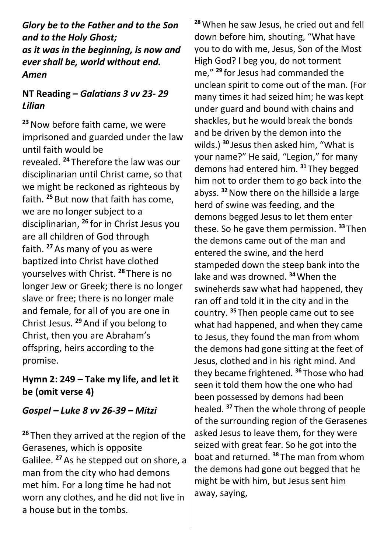*Glory be to the Father and to the Son and to the Holy Ghost; as it was in the beginning, is now and ever shall be, world without end. Amen*

# **NT Reading –** *Galatians 3 vv 23- 29 Lilian*

**<sup>23</sup>**Now before faith came, we were imprisoned and guarded under the law until faith would be revealed. **<sup>24</sup>** Therefore the law was our disciplinarian until Christ came, so that we might be reckoned as righteous by faith. **<sup>25</sup>** But now that faith has come, we are no longer subject to a disciplinarian, **<sup>26</sup>** for in Christ Jesus you are all children of God through faith. **<sup>27</sup>**As many of you as were baptized into Christ have clothed yourselves with Christ. **<sup>28</sup>** There is no longer Jew or Greek; there is no longer slave or free; there is no longer male and female, for all of you are one in Christ Jesus. **<sup>29</sup>**And if you belong to Christ, then you are Abraham's offspring, heirs according to the promise.

#### **Hymn 2: 249 – Take my life, and let it be (omit verse 4)**

## *Gospel – Luke 8 vv 26-39 – Mitzi*

**<sup>26</sup>** Then they arrived at the region of the Gerasenes, which is opposite Galilee. **<sup>27</sup>**As he stepped out on shore, a man from the city who had demons met him. For a long time he had not worn any clothes, and he did not live in a house but in the tombs.

**<sup>28</sup>**When he saw Jesus, he cried out and fell down before him, shouting, "What have you to do with me, Jesus, Son of the Most High God? I beg you, do not torment me," **<sup>29</sup>** for Jesus had commanded the unclean spirit to come out of the man. (For many times it had seized him; he was kept under guard and bound with chains and shackles, but he would break the bonds and be driven by the demon into the wilds.) **<sup>30</sup>** Jesus then asked him, "What is your name?" He said, "Legion," for many demons had entered him. **<sup>31</sup>** They begged him not to order them to go back into the abyss. **<sup>32</sup>**Now there on the hillside a large herd of swine was feeding, and the demons begged Jesus to let them enter these. So he gave them permission. **<sup>33</sup>** Then the demons came out of the man and entered the swine, and the herd stampeded down the steep bank into the lake and was drowned. **<sup>34</sup>**When the swineherds saw what had happened, they ran off and told it in the city and in the country. **<sup>35</sup>** Then people came out to see what had happened, and when they came to Jesus, they found the man from whom the demons had gone sitting at the feet of Jesus, clothed and in his right mind. And they became frightened. **<sup>36</sup>** Those who had seen it told them how the one who had been possessed by demons had been healed. **<sup>37</sup>** Then the whole throng of people of the surrounding region of the Gerasenes asked Jesus to leave them, for they were seized with great fear. So he got into the boat and returned. **<sup>38</sup>** The man from whom the demons had gone out begged that he might be with him, but Jesus sent him away, saying,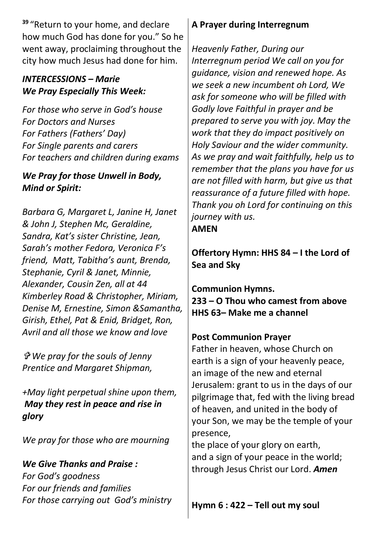**<sup>39</sup>** "Return to your home, and declare how much God has done for you." So he went away, proclaiming throughout the city how much Jesus had done for him.

## *INTERCESSIONS – Marie We Pray Especially This Week:*

*For those who serve in God's house For Doctors and Nurses For Fathers (Fathers' Day) For Single parents and carers For teachers and children during exams*

# *We Pray for those Unwell in Body, Mind or Spirit:*

*Barbara G, Margaret L, Janine H, Janet & John J, Stephen Mc, Geraldine, Sandra, Kat's sister Christine, Jean, Sarah's mother Fedora, Veronica F's friend, Matt, Tabitha's aunt, Brenda, Stephanie, Cyril & Janet, Minnie, Alexander, Cousin Zen, all at 44 Kimberley Road & Christopher, Miriam, Denise M, Ernestine, Simon &Samantha, Girish, Ethel, Pat & Enid, Bridget, Ron, Avril and all those we know and love* 

 *We pray for the souls of Jenny Prentice and Margaret Shipman,* 

*+May light perpetual shine upon them, May they rest in peace and rise in glory*

*We pray for those who are mourning*

*We Give Thanks and Praise : For God's goodness For our friends and families For those carrying out God's ministry*

## **A Prayer during Interregnum**

*Heavenly Father, During our Interregnum period We call on you for guidance, vision and renewed hope. As we seek a new incumbent oh Lord, We ask for someone who will be filled with Godly love Faithful in prayer and be prepared to serve you with joy. May the work that they do impact positively on Holy Saviour and the wider community. As we pray and wait faithfully, help us to remember that the plans you have for us are not filled with harm, but give us that reassurance of a future filled with hope. Thank you oh Lord for continuing on this journey with us.*

**AMEN**

**Offertory Hymn: HHS 84 – I the Lord of Sea and Sky**

#### **Communion Hymns. 233 – O Thou who camest from above HHS 63– Make me a channel**

# **Post Communion Prayer**

Father in heaven, whose Church on earth is a sign of your heavenly peace, an image of the new and eternal Jerusalem: grant to us in the days of our pilgrimage that, fed with the living bread of heaven, and united in the body of your Son, we may be the temple of your presence,

the place of your glory on earth, and a sign of your peace in the world; through Jesus Christ our Lord. *Amen*

**Hymn 6 : 422 – Tell out my soul**